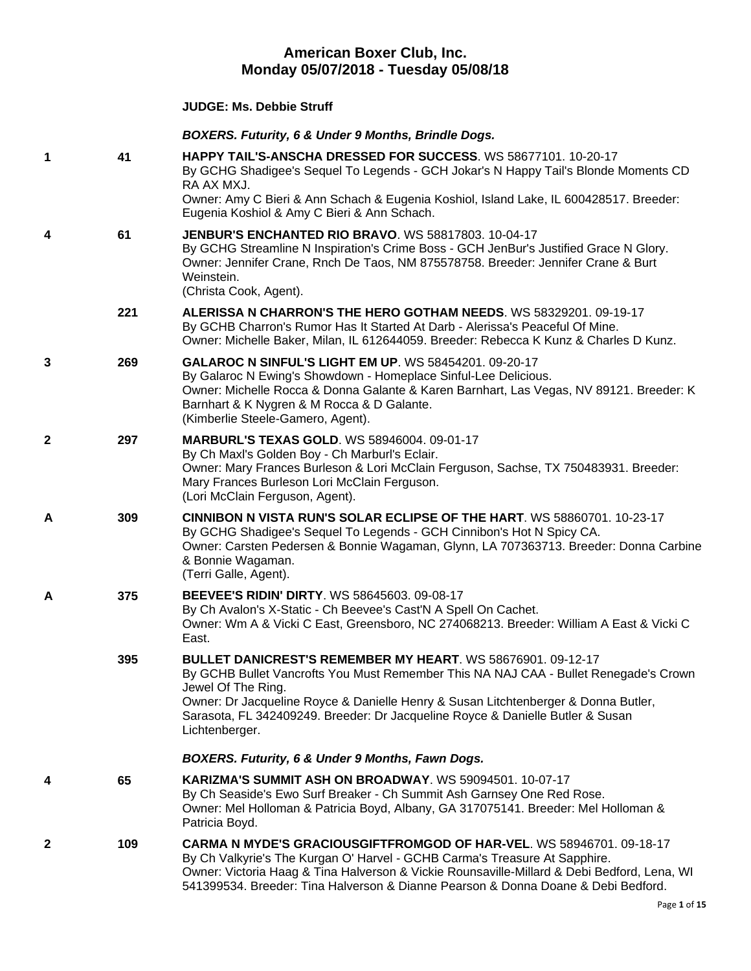## **American Boxer Club, Inc. Monday 05/07/2018 - Tuesday 05/08/18**

## **JUDGE: [Ms. Debbie Struff](http://www.infodog.com/show/judge/jdgprofile.htm?jn=50051)**

## *BOXERS. Futurity, 6 & Under 9 Months, Brindle Dogs.*

| 1 | 41  | <b>HAPPY TAIL'S-ANSCHA DRESSED FOR SUCCESS. WS 58677101. 10-20-17</b><br>By GCHG Shadigee's Sequel To Legends - GCH Jokar's N Happy Tail's Blonde Moments CD<br>RA AX MXJ.<br>Owner: Amy C Bieri & Ann Schach & Eugenia Koshiol, Island Lake, IL 600428517. Breeder:<br>Eugenia Koshiol & Amy C Bieri & Ann Schach.                                                        |
|---|-----|----------------------------------------------------------------------------------------------------------------------------------------------------------------------------------------------------------------------------------------------------------------------------------------------------------------------------------------------------------------------------|
| 4 | 61  | JENBUR'S ENCHANTED RIO BRAVO. WS 58817803, 10-04-17<br>By GCHG Streamline N Inspiration's Crime Boss - GCH JenBur's Justified Grace N Glory.<br>Owner: Jennifer Crane, Rnch De Taos, NM 875578758. Breeder: Jennifer Crane & Burt<br>Weinstein.<br>(Christa Cook, Agent).                                                                                                  |
|   | 221 | ALERISSA N CHARRON'S THE HERO GOTHAM NEEDS. WS 58329201. 09-19-17<br>By GCHB Charron's Rumor Has It Started At Darb - Alerissa's Peaceful Of Mine.<br>Owner: Michelle Baker, Milan, IL 612644059. Breeder: Rebecca K Kunz & Charles D Kunz.                                                                                                                                |
| 3 | 269 | <b>GALAROC N SINFUL'S LIGHT EM UP. WS 58454201. 09-20-17</b><br>By Galaroc N Ewing's Showdown - Homeplace Sinful-Lee Delicious.<br>Owner: Michelle Rocca & Donna Galante & Karen Barnhart, Las Vegas, NV 89121. Breeder: K<br>Barnhart & K Nygren & M Rocca & D Galante.<br>(Kimberlie Steele-Gamero, Agent).                                                              |
| 2 | 297 | <b>MARBURL'S TEXAS GOLD. WS 58946004. 09-01-17</b><br>By Ch Maxl's Golden Boy - Ch Marburl's Eclair.<br>Owner: Mary Frances Burleson & Lori McClain Ferguson, Sachse, TX 750483931. Breeder:<br>Mary Frances Burleson Lori McClain Ferguson.<br>(Lori McClain Ferguson, Agent).                                                                                            |
| A | 309 | CINNIBON N VISTA RUN'S SOLAR ECLIPSE OF THE HART. WS 58860701. 10-23-17<br>By GCHG Shadigee's Sequel To Legends - GCH Cinnibon's Hot N Spicy CA.<br>Owner: Carsten Pedersen & Bonnie Wagaman, Glynn, LA 707363713. Breeder: Donna Carbine<br>& Bonnie Wagaman.<br>(Terri Galle, Agent).                                                                                    |
| A | 375 | <b>BEEVEE'S RIDIN' DIRTY. WS 58645603. 09-08-17</b><br>By Ch Avalon's X-Static - Ch Beevee's Cast'N A Spell On Cachet.<br>Owner: Wm A & Vicki C East, Greensboro, NC 274068213. Breeder: William A East & Vicki C<br>East.                                                                                                                                                 |
|   | 395 | <b>BULLET DANICREST'S REMEMBER MY HEART. WS 58676901, 09-12-17</b><br>By GCHB Bullet Vancrofts You Must Remember This NA NAJ CAA - Bullet Renegade's Crown<br>Jewel Of The Ring.<br>Owner: Dr Jacqueline Royce & Danielle Henry & Susan Litchtenberger & Donna Butler,<br>Sarasota, FL 342409249. Breeder: Dr Jacqueline Royce & Danielle Butler & Susan<br>Lichtenberger. |
|   |     | BOXERS. Futurity, 6 & Under 9 Months, Fawn Dogs.                                                                                                                                                                                                                                                                                                                           |
| 4 | 65  | <b>KARIZMA'S SUMMIT ASH ON BROADWAY.</b> WS 59094501, 10-07-17<br>By Ch Seaside's Ewo Surf Breaker - Ch Summit Ash Garnsey One Red Rose.<br>Owner: Mel Holloman & Patricia Boyd, Albany, GA 317075141. Breeder: Mel Holloman &<br>Patricia Boyd.                                                                                                                           |
| 2 | 109 | CARMA N MYDE'S GRACIOUSGIFTFROMGOD OF HAR-VEL. WS 58946701. 09-18-17<br>By Ch Valkyrie's The Kurgan O' Harvel - GCHB Carma's Treasure At Sapphire.<br>Owner: Victoria Haag & Tina Halverson & Vickie Rounsaville-Millard & Debi Bedford, Lena, WI<br>541399534. Breeder: Tina Halverson & Dianne Pearson & Donna Doane & Debi Bedford.                                     |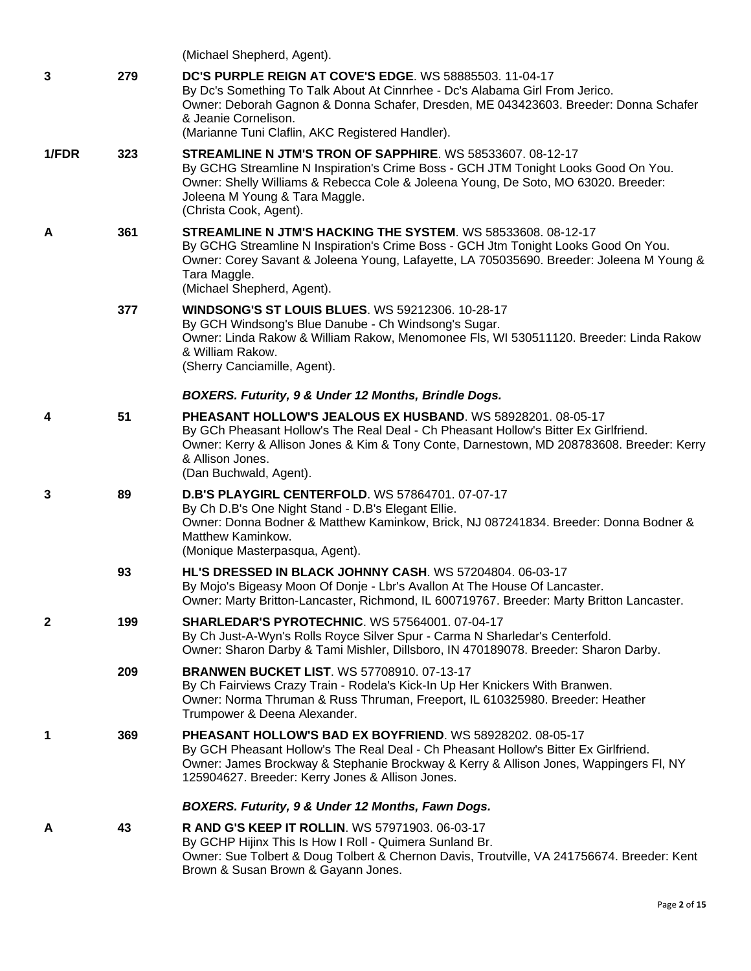|              |     | (Michael Shepherd, Agent).                                                                                                                                                                                                                                                                                         |
|--------------|-----|--------------------------------------------------------------------------------------------------------------------------------------------------------------------------------------------------------------------------------------------------------------------------------------------------------------------|
| 3            | 279 | <b>DC'S PURPLE REIGN AT COVE'S EDGE. WS 58885503. 11-04-17</b><br>By Dc's Something To Talk About At Cinnrhee - Dc's Alabama Girl From Jerico.<br>Owner: Deborah Gagnon & Donna Schafer, Dresden, ME 043423603. Breeder: Donna Schafer<br>& Jeanie Cornelison.<br>(Marianne Tuni Claflin, AKC Registered Handler). |
| 1/FDR        | 323 | STREAMLINE N JTM'S TRON OF SAPPHIRE. WS 58533607. 08-12-17<br>By GCHG Streamline N Inspiration's Crime Boss - GCH JTM Tonight Looks Good On You.<br>Owner: Shelly Williams & Rebecca Cole & Joleena Young, De Soto, MO 63020. Breeder:<br>Joleena M Young & Tara Maggle.<br>(Christa Cook, Agent).                 |
| A            | 361 | STREAMLINE N JTM'S HACKING THE SYSTEM. WS 58533608. 08-12-17<br>By GCHG Streamline N Inspiration's Crime Boss - GCH Jtm Tonight Looks Good On You.<br>Owner: Corey Savant & Joleena Young, Lafayette, LA 705035690. Breeder: Joleena M Young &<br>Tara Maggle.<br>(Michael Shepherd, Agent).                       |
|              | 377 | <b>WINDSONG'S ST LOUIS BLUES. WS 59212306. 10-28-17</b><br>By GCH Windsong's Blue Danube - Ch Windsong's Sugar.<br>Owner: Linda Rakow & William Rakow, Menomonee Fls, WI 530511120. Breeder: Linda Rakow<br>& William Rakow.<br>(Sherry Canciamille, Agent).                                                       |
|              |     | BOXERS. Futurity, 9 & Under 12 Months, Brindle Dogs.                                                                                                                                                                                                                                                               |
| 4            | 51  | PHEASANT HOLLOW'S JEALOUS EX HUSBAND. WS 58928201. 08-05-17<br>By GCh Pheasant Hollow's The Real Deal - Ch Pheasant Hollow's Bitter Ex Girlfriend.<br>Owner: Kerry & Allison Jones & Kim & Tony Conte, Darnestown, MD 208783608. Breeder: Kerry<br>& Allison Jones.<br>(Dan Buchwald, Agent).                      |
| 3            | 89  | <b>D.B'S PLAYGIRL CENTERFOLD.</b> WS 57864701. 07-07-17<br>By Ch D.B's One Night Stand - D.B's Elegant Ellie.<br>Owner: Donna Bodner & Matthew Kaminkow, Brick, NJ 087241834. Breeder: Donna Bodner &<br>Matthew Kaminkow.<br>(Monique Masterpasqua, Agent).                                                       |
|              | 93  | HL'S DRESSED IN BLACK JOHNNY CASH. WS 57204804, 06-03-17<br>By Mojo's Bigeasy Moon Of Donje - Lbr's Avallon At The House Of Lancaster.<br>Owner: Marty Britton-Lancaster, Richmond, IL 600719767. Breeder: Marty Britton Lancaster.                                                                                |
| $\mathbf{2}$ | 199 | <b>SHARLEDAR'S PYROTECHNIC. WS 57564001. 07-04-17</b><br>By Ch Just-A-Wyn's Rolls Royce Silver Spur - Carma N Sharledar's Centerfold.<br>Owner: Sharon Darby & Tami Mishler, Dillsboro, IN 470189078. Breeder: Sharon Darby.                                                                                       |
|              | 209 | <b>BRANWEN BUCKET LIST. WS 57708910. 07-13-17</b><br>By Ch Fairviews Crazy Train - Rodela's Kick-In Up Her Knickers With Branwen.<br>Owner: Norma Thruman & Russ Thruman, Freeport, IL 610325980. Breeder: Heather<br>Trumpower & Deena Alexander.                                                                 |
| 1            | 369 | PHEASANT HOLLOW'S BAD EX BOYFRIEND. WS 58928202. 08-05-17<br>By GCH Pheasant Hollow's The Real Deal - Ch Pheasant Hollow's Bitter Ex Girlfriend.<br>Owner: James Brockway & Stephanie Brockway & Kerry & Allison Jones, Wappingers FI, NY<br>125904627. Breeder: Kerry Jones & Allison Jones.                      |
|              |     | BOXERS. Futurity, 9 & Under 12 Months, Fawn Dogs.                                                                                                                                                                                                                                                                  |
| A            | 43  | <b>R AND G'S KEEP IT ROLLIN. WS 57971903. 06-03-17</b><br>By GCHP Hijinx This Is How I Roll - Quimera Sunland Br.<br>Owner: Sue Tolbert & Doug Tolbert & Chernon Davis, Troutville, VA 241756674. Breeder: Kent<br>Brown & Susan Brown & Gayann Jones.                                                             |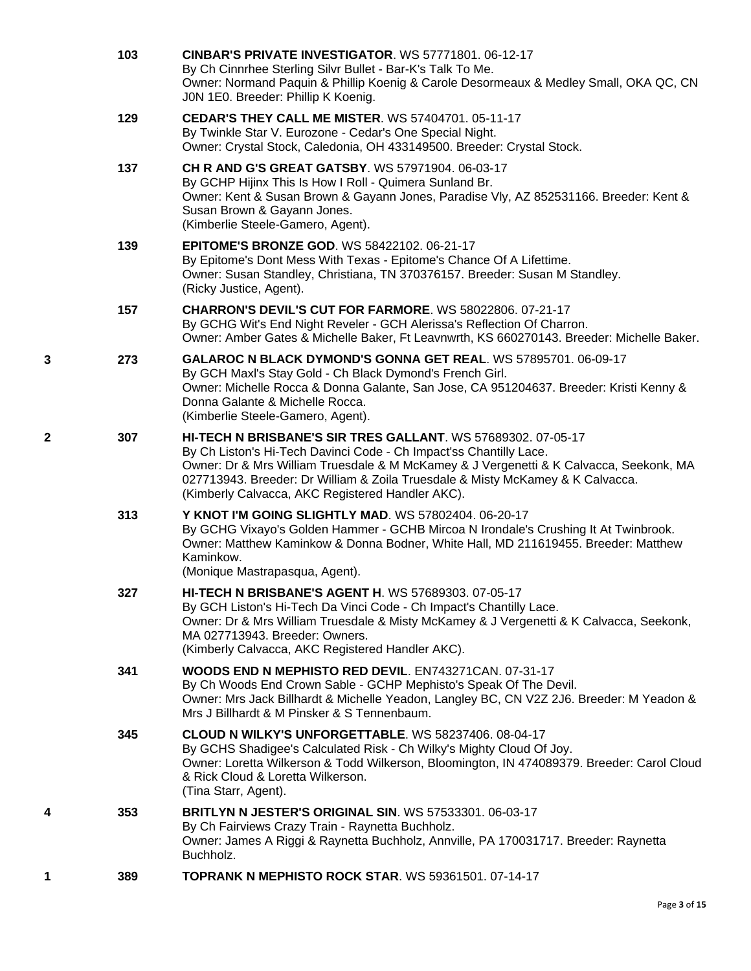|   | 103 | <b>CINBAR'S PRIVATE INVESTIGATOR. WS 57771801. 06-12-17</b><br>By Ch Cinnrhee Sterling Silvr Bullet - Bar-K's Talk To Me.<br>Owner: Normand Paquin & Phillip Koenig & Carole Desormeaux & Medley Small, OKA QC, CN<br>J0N 1E0. Breeder: Phillip K Koenig.                                                                                                          |
|---|-----|--------------------------------------------------------------------------------------------------------------------------------------------------------------------------------------------------------------------------------------------------------------------------------------------------------------------------------------------------------------------|
|   | 129 | <b>CEDAR'S THEY CALL ME MISTER. WS 57404701. 05-11-17</b><br>By Twinkle Star V. Eurozone - Cedar's One Special Night.<br>Owner: Crystal Stock, Caledonia, OH 433149500. Breeder: Crystal Stock.                                                                                                                                                                    |
|   | 137 | <b>CH R AND G'S GREAT GATSBY.</b> WS 57971904. 06-03-17<br>By GCHP Hijinx This Is How I Roll - Quimera Sunland Br.<br>Owner: Kent & Susan Brown & Gayann Jones, Paradise Vly, AZ 852531166. Breeder: Kent &<br>Susan Brown & Gayann Jones.<br>(Kimberlie Steele-Gamero, Agent).                                                                                    |
|   | 139 | <b>EPITOME'S BRONZE GOD. WS 58422102. 06-21-17</b><br>By Epitome's Dont Mess With Texas - Epitome's Chance Of A Lifettime.<br>Owner: Susan Standley, Christiana, TN 370376157. Breeder: Susan M Standley.<br>(Ricky Justice, Agent).                                                                                                                               |
|   | 157 | CHARRON'S DEVIL'S CUT FOR FARMORE. WS 58022806. 07-21-17<br>By GCHG Wit's End Night Reveler - GCH Alerissa's Reflection Of Charron.<br>Owner: Amber Gates & Michelle Baker, Ft Leavnwrth, KS 660270143. Breeder: Michelle Baker.                                                                                                                                   |
| 3 | 273 | GALAROC N BLACK DYMOND'S GONNA GET REAL. WS 57895701. 06-09-17<br>By GCH Maxl's Stay Gold - Ch Black Dymond's French Girl.<br>Owner: Michelle Rocca & Donna Galante, San Jose, CA 951204637. Breeder: Kristi Kenny &<br>Donna Galante & Michelle Rocca.<br>(Kimberlie Steele-Gamero, Agent).                                                                       |
| 2 | 307 | HI-TECH N BRISBANE'S SIR TRES GALLANT. WS 57689302. 07-05-17<br>By Ch Liston's Hi-Tech Davinci Code - Ch Impact'ss Chantilly Lace.<br>Owner: Dr & Mrs William Truesdale & M McKamey & J Vergenetti & K Calvacca, Seekonk, MA<br>027713943. Breeder: Dr William & Zoila Truesdale & Misty McKamey & K Calvacca.<br>(Kimberly Calvacca, AKC Registered Handler AKC). |
|   | 313 | Y KNOT I'M GOING SLIGHTLY MAD. WS 57802404. 06-20-17<br>By GCHG Vixayo's Golden Hammer - GCHB Mircoa N Irondale's Crushing It At Twinbrook.<br>Owner: Matthew Kaminkow & Donna Bodner, White Hall, MD 211619455. Breeder: Matthew<br>Kaminkow.<br>(Monique Mastrapasqua, Agent).                                                                                   |
|   | 327 | HI-TECH N BRISBANE'S AGENT H. WS 57689303. 07-05-17<br>By GCH Liston's Hi-Tech Da Vinci Code - Ch Impact's Chantilly Lace.<br>Owner: Dr & Mrs William Truesdale & Misty McKamey & J Vergenetti & K Calvacca, Seekonk,<br>MA 027713943. Breeder: Owners.<br>(Kimberly Calvacca, AKC Registered Handler AKC).                                                        |
|   | 341 | <b>WOODS END N MEPHISTO RED DEVIL. EN743271CAN. 07-31-17</b><br>By Ch Woods End Crown Sable - GCHP Mephisto's Speak Of The Devil.<br>Owner: Mrs Jack Billhardt & Michelle Yeadon, Langley BC, CN V2Z 2J6. Breeder: M Yeadon &<br>Mrs J Billhardt & M Pinsker & S Tennenbaum.                                                                                       |
|   | 345 | CLOUD N WILKY'S UNFORGETTABLE. WS 58237406. 08-04-17<br>By GCHS Shadigee's Calculated Risk - Ch Wilky's Mighty Cloud Of Joy.<br>Owner: Loretta Wilkerson & Todd Wilkerson, Bloomington, IN 474089379. Breeder: Carol Cloud<br>& Rick Cloud & Loretta Wilkerson.<br>(Tina Starr, Agent).                                                                            |
| 4 | 353 | <b>BRITLYN N JESTER'S ORIGINAL SIN. WS 57533301. 06-03-17</b><br>By Ch Fairviews Crazy Train - Raynetta Buchholz.<br>Owner: James A Riggi & Raynetta Buchholz, Annville, PA 170031717. Breeder: Raynetta<br>Buchholz.                                                                                                                                              |
| 1 | 389 | <b>TOPRANK N MEPHISTO ROCK STAR. WS 59361501. 07-14-17</b>                                                                                                                                                                                                                                                                                                         |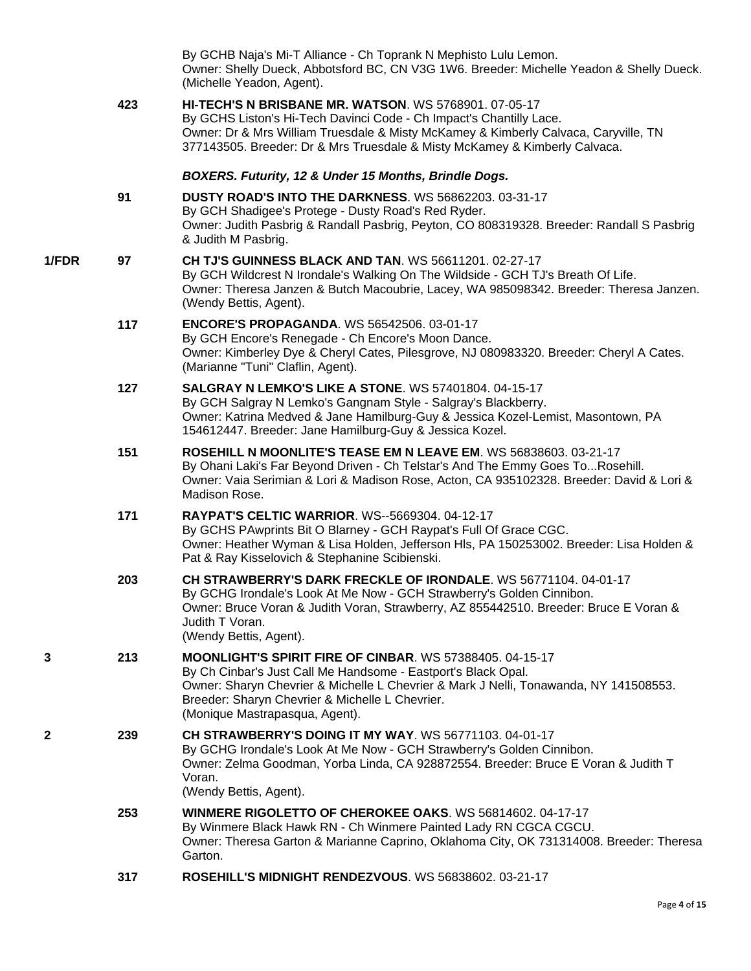|       |     | By GCHB Naja's Mi-T Alliance - Ch Toprank N Mephisto Lulu Lemon.<br>Owner: Shelly Dueck, Abbotsford BC, CN V3G 1W6. Breeder: Michelle Yeadon & Shelly Dueck.<br>(Michelle Yeadon, Agent).                                                                                                                      |
|-------|-----|----------------------------------------------------------------------------------------------------------------------------------------------------------------------------------------------------------------------------------------------------------------------------------------------------------------|
|       | 423 | <b>HI-TECH'S N BRISBANE MR. WATSON. WS 5768901. 07-05-17</b><br>By GCHS Liston's Hi-Tech Davinci Code - Ch Impact's Chantilly Lace.<br>Owner: Dr & Mrs William Truesdale & Misty McKamey & Kimberly Calvaca, Caryville, TN<br>377143505. Breeder: Dr & Mrs Truesdale & Misty McKamey & Kimberly Calvaca.       |
|       |     | BOXERS. Futurity, 12 & Under 15 Months, Brindle Dogs.                                                                                                                                                                                                                                                          |
|       | 91  | DUSTY ROAD'S INTO THE DARKNESS. WS 56862203. 03-31-17<br>By GCH Shadigee's Protege - Dusty Road's Red Ryder.<br>Owner: Judith Pasbrig & Randall Pasbrig, Peyton, CO 808319328. Breeder: Randall S Pasbrig<br>& Judith M Pasbrig.                                                                               |
| 1/FDR | 97  | CH TJ'S GUINNESS BLACK AND TAN. WS 56611201. 02-27-17<br>By GCH Wildcrest N Irondale's Walking On The Wildside - GCH TJ's Breath Of Life.<br>Owner: Theresa Janzen & Butch Macoubrie, Lacey, WA 985098342. Breeder: Theresa Janzen.<br>(Wendy Bettis, Agent).                                                  |
|       | 117 | <b>ENCORE'S PROPAGANDA. WS 56542506. 03-01-17</b><br>By GCH Encore's Renegade - Ch Encore's Moon Dance.<br>Owner: Kimberley Dye & Cheryl Cates, Pilesgrove, NJ 080983320. Breeder: Cheryl A Cates.<br>(Marianne "Tuni" Claflin, Agent).                                                                        |
|       | 127 | <b>SALGRAY N LEMKO'S LIKE A STONE. WS 57401804. 04-15-17</b><br>By GCH Salgray N Lemko's Gangnam Style - Salgray's Blackberry.<br>Owner: Katrina Medved & Jane Hamilburg-Guy & Jessica Kozel-Lemist, Masontown, PA<br>154612447. Breeder: Jane Hamilburg-Guy & Jessica Kozel.                                  |
|       | 151 | ROSEHILL N MOONLITE'S TEASE EM N LEAVE EM. WS 56838603. 03-21-17<br>By Ohani Laki's Far Beyond Driven - Ch Telstar's And The Emmy Goes ToRosehill.<br>Owner: Vaia Serimian & Lori & Madison Rose, Acton, CA 935102328. Breeder: David & Lori &<br>Madison Rose.                                                |
|       | 171 | RAYPAT'S CELTIC WARRIOR. WS--5669304. 04-12-17<br>By GCHS PAwprints Bit O Blarney - GCH Raypat's Full Of Grace CGC.<br>Owner: Heather Wyman & Lisa Holden, Jefferson Hls, PA 150253002. Breeder: Lisa Holden &<br>Pat & Ray Kisselovich & Stephanine Scibienski.                                               |
|       | 203 | CH STRAWBERRY'S DARK FRECKLE OF IRONDALE. WS 56771104. 04-01-17<br>By GCHG Irondale's Look At Me Now - GCH Strawberry's Golden Cinnibon.<br>Owner: Bruce Voran & Judith Voran, Strawberry, AZ 855442510. Breeder: Bruce E Voran &<br>Judith T Voran.<br>(Wendy Bettis, Agent).                                 |
| 3     | 213 | <b>MOONLIGHT'S SPIRIT FIRE OF CINBAR. WS 57388405, 04-15-17</b><br>By Ch Cinbar's Just Call Me Handsome - Eastport's Black Opal.<br>Owner: Sharyn Chevrier & Michelle L Chevrier & Mark J Nelli, Tonawanda, NY 141508553.<br>Breeder: Sharyn Chevrier & Michelle L Chevrier.<br>(Monique Mastrapasqua, Agent). |
| 2     | 239 | CH STRAWBERRY'S DOING IT MY WAY. WS 56771103. 04-01-17<br>By GCHG Irondale's Look At Me Now - GCH Strawberry's Golden Cinnibon.<br>Owner: Zelma Goodman, Yorba Linda, CA 928872554. Breeder: Bruce E Voran & Judith T<br>Voran.<br>(Wendy Bettis, Agent).                                                      |
|       | 253 | WINMERE RIGOLETTO OF CHEROKEE OAKS. WS 56814602. 04-17-17<br>By Winmere Black Hawk RN - Ch Winmere Painted Lady RN CGCA CGCU.<br>Owner: Theresa Garton & Marianne Caprino, Oklahoma City, OK 731314008. Breeder: Theresa<br>Garton.                                                                            |
|       | 317 | ROSEHILL'S MIDNIGHT RENDEZVOUS. WS 56838602. 03-21-17                                                                                                                                                                                                                                                          |

Page **4** of **15**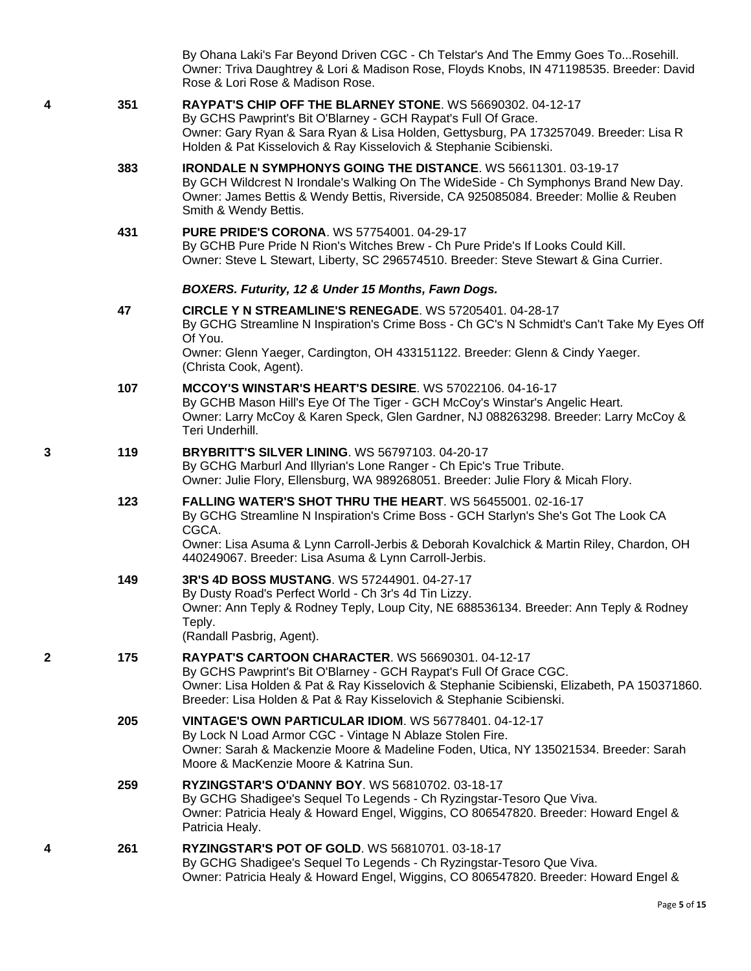|   |     | By Ohana Laki's Far Beyond Driven CGC - Ch Telstar's And The Emmy Goes ToRosehill.<br>Owner: Triva Daughtrey & Lori & Madison Rose, Floyds Knobs, IN 471198535. Breeder: David<br>Rose & Lori Rose & Madison Rose.                                                                                    |
|---|-----|-------------------------------------------------------------------------------------------------------------------------------------------------------------------------------------------------------------------------------------------------------------------------------------------------------|
| 4 | 351 | RAYPAT'S CHIP OFF THE BLARNEY STONE. WS 56690302. 04-12-17<br>By GCHS Pawprint's Bit O'Blarney - GCH Raypat's Full Of Grace.<br>Owner: Gary Ryan & Sara Ryan & Lisa Holden, Gettysburg, PA 173257049. Breeder: Lisa R<br>Holden & Pat Kisselovich & Ray Kisselovich & Stephanie Scibienski.           |
|   | 383 | <b>IRONDALE N SYMPHONYS GOING THE DISTANCE. WS 56611301. 03-19-17</b><br>By GCH Wildcrest N Irondale's Walking On The WideSide - Ch Symphonys Brand New Day.<br>Owner: James Bettis & Wendy Bettis, Riverside, CA 925085084. Breeder: Mollie & Reuben<br>Smith & Wendy Bettis.                        |
|   | 431 | <b>PURE PRIDE'S CORONA. WS 57754001. 04-29-17</b><br>By GCHB Pure Pride N Rion's Witches Brew - Ch Pure Pride's If Looks Could Kill.<br>Owner: Steve L Stewart, Liberty, SC 296574510. Breeder: Steve Stewart & Gina Currier.                                                                         |
|   |     | BOXERS. Futurity, 12 & Under 15 Months, Fawn Dogs.                                                                                                                                                                                                                                                    |
|   | 47  | CIRCLE Y N STREAMLINE'S RENEGADE. WS 57205401. 04-28-17<br>By GCHG Streamline N Inspiration's Crime Boss - Ch GC's N Schmidt's Can't Take My Eyes Off<br>Of You.<br>Owner: Glenn Yaeger, Cardington, OH 433151122. Breeder: Glenn & Cindy Yaeger.                                                     |
|   |     | (Christa Cook, Agent).                                                                                                                                                                                                                                                                                |
|   | 107 | MCCOY'S WINSTAR'S HEART'S DESIRE. WS 57022106. 04-16-17<br>By GCHB Mason Hill's Eye Of The Tiger - GCH McCoy's Winstar's Angelic Heart.<br>Owner: Larry McCoy & Karen Speck, Glen Gardner, NJ 088263298. Breeder: Larry McCoy &<br>Teri Underhill.                                                    |
| 3 | 119 | <b>BRYBRITT'S SILVER LINING. WS 56797103. 04-20-17</b><br>By GCHG Marburl And Illyrian's Lone Ranger - Ch Epic's True Tribute.<br>Owner: Julie Flory, Ellensburg, WA 989268051. Breeder: Julie Flory & Micah Flory.                                                                                   |
|   | 123 | FALLING WATER'S SHOT THRU THE HEART. WS 56455001. 02-16-17<br>By GCHG Streamline N Inspiration's Crime Boss - GCH Starlyn's She's Got The Look CA<br>CGCA.<br>Owner: Lisa Asuma & Lynn Carroll-Jerbis & Deborah Kovalchick & Martin Riley, Chardon, OH                                                |
|   |     | 440249067. Breeder: Lisa Asuma & Lynn Carroll-Jerbis.                                                                                                                                                                                                                                                 |
|   | 149 | 3R'S 4D BOSS MUSTANG. WS 57244901. 04-27-17<br>By Dusty Road's Perfect World - Ch 3r's 4d Tin Lizzy.<br>Owner: Ann Teply & Rodney Teply, Loup City, NE 688536134. Breeder: Ann Teply & Rodney<br>Teply.<br>(Randall Pasbrig, Agent).                                                                  |
| 2 | 175 | <b>RAYPAT'S CARTOON CHARACTER. WS 56690301, 04-12-17</b><br>By GCHS Pawprint's Bit O'Blarney - GCH Raypat's Full Of Grace CGC.<br>Owner: Lisa Holden & Pat & Ray Kisselovich & Stephanie Scibienski, Elizabeth, PA 150371860.<br>Breeder: Lisa Holden & Pat & Ray Kisselovich & Stephanie Scibienski. |
|   | 205 | VINTAGE'S OWN PARTICULAR IDIOM. WS 56778401. 04-12-17<br>By Lock N Load Armor CGC - Vintage N Ablaze Stolen Fire.<br>Owner: Sarah & Mackenzie Moore & Madeline Foden, Utica, NY 135021534. Breeder: Sarah<br>Moore & MacKenzie Moore & Katrina Sun.                                                   |
|   | 259 | <b>RYZINGSTAR'S O'DANNY BOY. WS 56810702. 03-18-17</b><br>By GCHG Shadigee's Sequel To Legends - Ch Ryzingstar-Tesoro Que Viva.<br>Owner: Patricia Healy & Howard Engel, Wiggins, CO 806547820. Breeder: Howard Engel &<br>Patricia Healy.                                                            |
| 4 | 261 | RYZINGSTAR'S POT OF GOLD. WS 56810701. 03-18-17<br>By GCHG Shadigee's Sequel To Legends - Ch Ryzingstar-Tesoro Que Viva.<br>Owner: Patricia Healy & Howard Engel, Wiggins, CO 806547820. Breeder: Howard Engel &                                                                                      |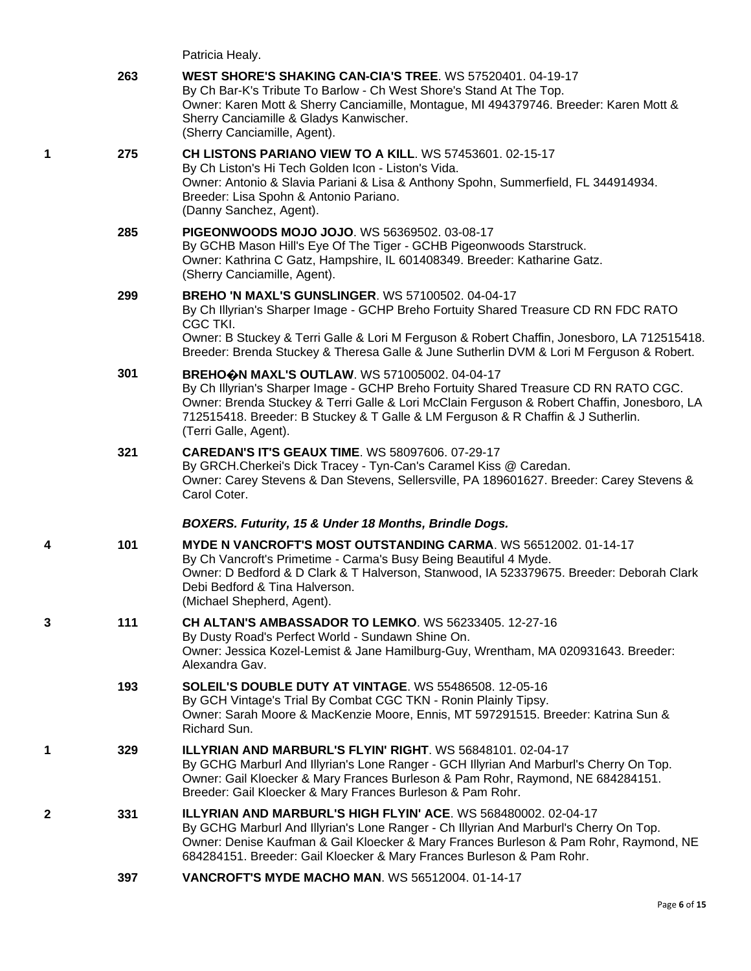| Patricia Healy. |  |
|-----------------|--|
|                 |  |

|   | 263 | WEST SHORE'S SHAKING CAN-CIA'S TREE. WS 57520401. 04-19-17<br>By Ch Bar-K's Tribute To Barlow - Ch West Shore's Stand At The Top.<br>Owner: Karen Mott & Sherry Canciamille, Montague, MI 494379746. Breeder: Karen Mott &<br>Sherry Canciamille & Gladys Kanwischer.<br>(Sherry Canciamille, Agent).                                                  |
|---|-----|--------------------------------------------------------------------------------------------------------------------------------------------------------------------------------------------------------------------------------------------------------------------------------------------------------------------------------------------------------|
| 1 | 275 | CH LISTONS PARIANO VIEW TO A KILL. WS 57453601. 02-15-17<br>By Ch Liston's Hi Tech Golden Icon - Liston's Vida.<br>Owner: Antonio & Slavia Pariani & Lisa & Anthony Spohn, Summerfield, FL 344914934.<br>Breeder: Lisa Spohn & Antonio Pariano.<br>(Danny Sanchez, Agent).                                                                             |
|   | 285 | PIGEONWOODS MOJO JOJO. WS 56369502. 03-08-17<br>By GCHB Mason Hill's Eye Of The Tiger - GCHB Pigeonwoods Starstruck.<br>Owner: Kathrina C Gatz, Hampshire, IL 601408349. Breeder: Katharine Gatz.<br>(Sherry Canciamille, Agent).                                                                                                                      |
|   | 299 | <b>BREHO 'N MAXL'S GUNSLINGER. WS 57100502. 04-04-17</b><br>By Ch Illyrian's Sharper Image - GCHP Breho Fortuity Shared Treasure CD RN FDC RATO<br>CGC TKI.<br>Owner: B Stuckey & Terri Galle & Lori M Ferguson & Robert Chaffin, Jonesboro, LA 712515418.<br>Breeder: Brenda Stuckey & Theresa Galle & June Sutherlin DVM & Lori M Ferguson & Robert. |
|   | 301 | BREHOON MAXL'S OUTLAW. WS 571005002. 04-04-17<br>By Ch Illyrian's Sharper Image - GCHP Breho Fortuity Shared Treasure CD RN RATO CGC.<br>Owner: Brenda Stuckey & Terri Galle & Lori McClain Ferguson & Robert Chaffin, Jonesboro, LA<br>712515418. Breeder: B Stuckey & T Galle & LM Ferguson & R Chaffin & J Sutherlin.<br>(Terri Galle, Agent).      |
|   | 321 | <b>CAREDAN'S IT'S GEAUX TIME. WS 58097606. 07-29-17</b><br>By GRCH.Cherkei's Dick Tracey - Tyn-Can's Caramel Kiss @ Caredan.<br>Owner: Carey Stevens & Dan Stevens, Sellersville, PA 189601627. Breeder: Carey Stevens &<br>Carol Coter.                                                                                                               |
|   |     | BOXERS. Futurity, 15 & Under 18 Months, Brindle Dogs.                                                                                                                                                                                                                                                                                                  |
| 4 | 101 | <b>MYDE N VANCROFT'S MOST OUTSTANDING CARMA. WS 56512002. 01-14-17</b><br>By Ch Vancroft's Primetime - Carma's Busy Being Beautiful 4 Myde.<br>Owner: D Bedford & D Clark & T Halverson, Stanwood, IA 523379675. Breeder: Deborah Clark<br>Debi Bedford & Tina Halverson.<br>(Michael Shepherd, Agent).                                                |
| 3 | 111 | <b>CH ALTAN'S AMBASSADOR TO LEMKO. WS 56233405. 12-27-16</b><br>By Dusty Road's Perfect World - Sundawn Shine On.<br>Owner: Jessica Kozel-Lemist & Jane Hamilburg-Guy, Wrentham, MA 020931643. Breeder:<br>Alexandra Gav.                                                                                                                              |
|   | 193 | SOLEIL'S DOUBLE DUTY AT VINTAGE. WS 55486508. 12-05-16<br>By GCH Vintage's Trial By Combat CGC TKN - Ronin Plainly Tipsy.<br>Owner: Sarah Moore & MacKenzie Moore, Ennis, MT 597291515. Breeder: Katrina Sun &<br>Richard Sun.                                                                                                                         |
| 1 | 329 | <b>ILLYRIAN AND MARBURL'S FLYIN' RIGHT. WS 56848101, 02-04-17</b><br>By GCHG Marburl And Illyrian's Lone Ranger - GCH Illyrian And Marburl's Cherry On Top.<br>Owner: Gail Kloecker & Mary Frances Burleson & Pam Rohr, Raymond, NE 684284151.<br>Breeder: Gail Kloecker & Mary Frances Burleson & Pam Rohr.                                           |
| 2 | 331 | ILLYRIAN AND MARBURL'S HIGH FLYIN' ACE. WS 568480002. 02-04-17<br>By GCHG Marburl And Illyrian's Lone Ranger - Ch Illyrian And Marburl's Cherry On Top.<br>Owner: Denise Kaufman & Gail Kloecker & Mary Frances Burleson & Pam Rohr, Raymond, NE<br>684284151. Breeder: Gail Kloecker & Mary Frances Burleson & Pam Rohr.                              |
|   | 397 | <b>VANCROFT'S MYDE MACHO MAN. WS 56512004. 01-14-17</b>                                                                                                                                                                                                                                                                                                |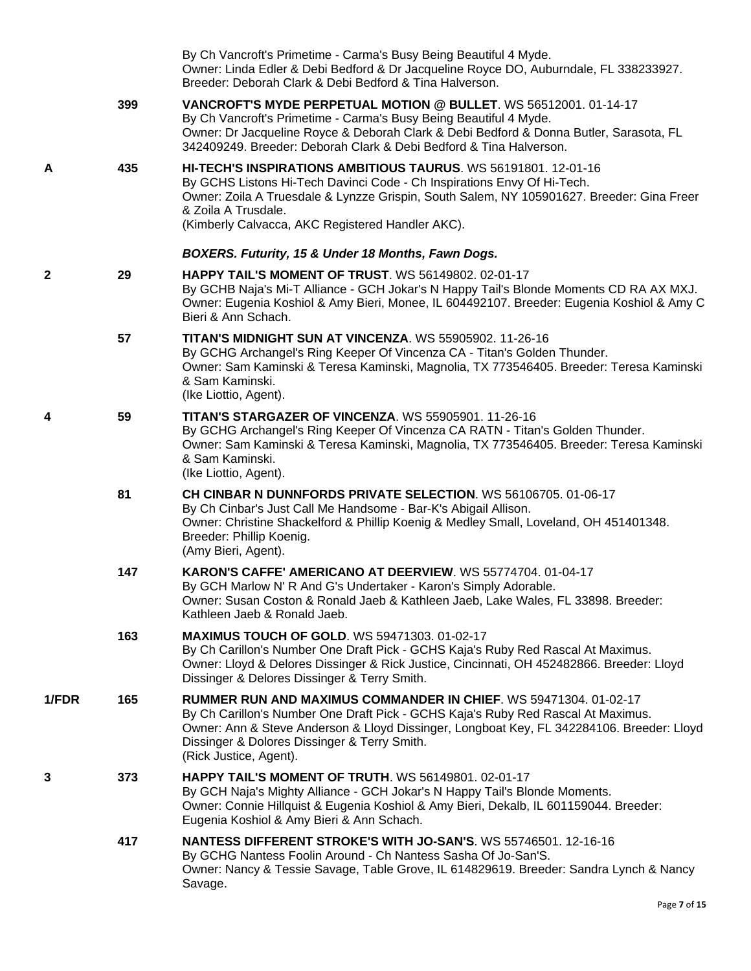|       |     | By Ch Vancroft's Primetime - Carma's Busy Being Beautiful 4 Myde.<br>Owner: Linda Edler & Debi Bedford & Dr Jacqueline Royce DO, Auburndale, FL 338233927.<br>Breeder: Deborah Clark & Debi Bedford & Tina Halverson.                                                                                                              |
|-------|-----|------------------------------------------------------------------------------------------------------------------------------------------------------------------------------------------------------------------------------------------------------------------------------------------------------------------------------------|
|       | 399 | VANCROFT'S MYDE PERPETUAL MOTION @ BULLET. WS 56512001. 01-14-17<br>By Ch Vancroft's Primetime - Carma's Busy Being Beautiful 4 Myde.<br>Owner: Dr Jacqueline Royce & Deborah Clark & Debi Bedford & Donna Butler, Sarasota, FL<br>342409249. Breeder: Deborah Clark & Debi Bedford & Tina Halverson.                              |
| A     | 435 | HI-TECH'S INSPIRATIONS AMBITIOUS TAURUS. WS 56191801. 12-01-16<br>By GCHS Listons Hi-Tech Davinci Code - Ch Inspirations Envy Of Hi-Tech.<br>Owner: Zoila A Truesdale & Lynzze Grispin, South Salem, NY 105901627. Breeder: Gina Freer<br>& Zoila A Trusdale.<br>(Kimberly Calvacca, AKC Registered Handler AKC).                  |
|       |     | BOXERS. Futurity, 15 & Under 18 Months, Fawn Dogs.                                                                                                                                                                                                                                                                                 |
| 2     | 29  | <b>HAPPY TAIL'S MOMENT OF TRUST. WS 56149802. 02-01-17</b><br>By GCHB Naja's Mi-T Alliance - GCH Jokar's N Happy Tail's Blonde Moments CD RA AX MXJ.<br>Owner: Eugenia Koshiol & Amy Bieri, Monee, IL 604492107. Breeder: Eugenia Koshiol & Amy C<br>Bieri & Ann Schach.                                                           |
|       | 57  | TITAN'S MIDNIGHT SUN AT VINCENZA. WS 55905902. 11-26-16<br>By GCHG Archangel's Ring Keeper Of Vincenza CA - Titan's Golden Thunder.<br>Owner: Sam Kaminski & Teresa Kaminski, Magnolia, TX 773546405. Breeder: Teresa Kaminski<br>& Sam Kaminski.<br>(Ike Liottio, Agent).                                                         |
| 4     | 59  | <b>TITAN'S STARGAZER OF VINCENZA. WS 55905901. 11-26-16</b><br>By GCHG Archangel's Ring Keeper Of Vincenza CA RATN - Titan's Golden Thunder.<br>Owner: Sam Kaminski & Teresa Kaminski, Magnolia, TX 773546405. Breeder: Teresa Kaminski<br>& Sam Kaminski.<br>(Ike Liottio, Agent).                                                |
|       | 81  | CH CINBAR N DUNNFORDS PRIVATE SELECTION. WS 56106705. 01-06-17<br>By Ch Cinbar's Just Call Me Handsome - Bar-K's Abigail Allison.<br>Owner: Christine Shackelford & Phillip Koenig & Medley Small, Loveland, OH 451401348.<br>Breeder: Phillip Koenig.<br>(Amy Bieri, Agent).                                                      |
|       | 147 | KARON'S CAFFE' AMERICANO AT DEERVIEW. WS 55774704. 01-04-17<br>By GCH Marlow N' R And G's Undertaker - Karon's Simply Adorable.<br>Owner: Susan Coston & Ronald Jaeb & Kathleen Jaeb, Lake Wales, FL 33898. Breeder:<br>Kathleen Jaeb & Ronald Jaeb.                                                                               |
|       | 163 | <b>MAXIMUS TOUCH OF GOLD. WS 59471303. 01-02-17</b><br>By Ch Carillon's Number One Draft Pick - GCHS Kaja's Ruby Red Rascal At Maximus.<br>Owner: Lloyd & Delores Dissinger & Rick Justice, Cincinnati, OH 452482866. Breeder: Lloyd<br>Dissinger & Delores Dissinger & Terry Smith.                                               |
| 1/FDR | 165 | <b>RUMMER RUN AND MAXIMUS COMMANDER IN CHIEF. WS 59471304. 01-02-17</b><br>By Ch Carillon's Number One Draft Pick - GCHS Kaja's Ruby Red Rascal At Maximus.<br>Owner: Ann & Steve Anderson & Lloyd Dissinger, Longboat Key, FL 342284106. Breeder: Lloyd<br>Dissinger & Dolores Dissinger & Terry Smith.<br>(Rick Justice, Agent). |
| 3     | 373 | <b>HAPPY TAIL'S MOMENT OF TRUTH. WS 56149801. 02-01-17</b><br>By GCH Naja's Mighty Alliance - GCH Jokar's N Happy Tail's Blonde Moments.<br>Owner: Connie Hillquist & Eugenia Koshiol & Amy Bieri, Dekalb, IL 601159044. Breeder:<br>Eugenia Koshiol & Amy Bieri & Ann Schach.                                                     |
|       | 417 | NANTESS DIFFERENT STROKE'S WITH JO-SAN'S. WS 55746501. 12-16-16<br>By GCHG Nantess Foolin Around - Ch Nantess Sasha Of Jo-San'S.<br>Owner: Nancy & Tessie Savage, Table Grove, IL 614829619. Breeder: Sandra Lynch & Nancy<br>Savage.                                                                                              |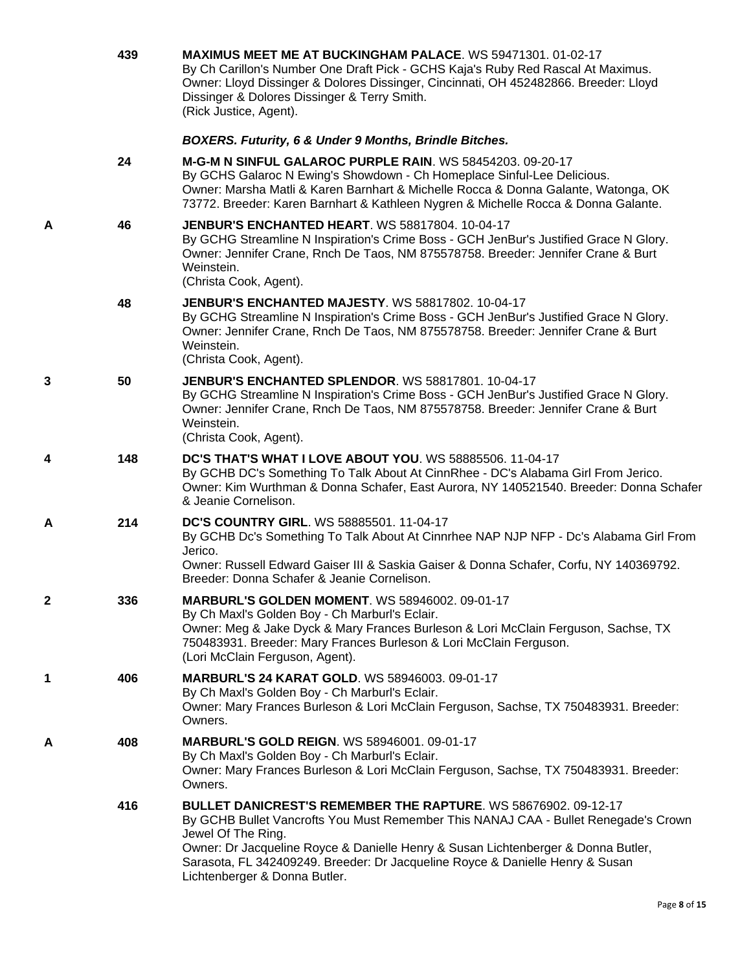|   | 439 | <b>MAXIMUS MEET ME AT BUCKINGHAM PALACE.</b> WS 59471301. 01-02-17<br>By Ch Carillon's Number One Draft Pick - GCHS Kaja's Ruby Red Rascal At Maximus.<br>Owner: Lloyd Dissinger & Dolores Dissinger, Cincinnati, OH 452482866. Breeder: Lloyd<br>Dissinger & Dolores Dissinger & Terry Smith.<br>(Rick Justice, Agent).                                                           |
|---|-----|------------------------------------------------------------------------------------------------------------------------------------------------------------------------------------------------------------------------------------------------------------------------------------------------------------------------------------------------------------------------------------|
|   |     | BOXERS. Futurity, 6 & Under 9 Months, Brindle Bitches.                                                                                                                                                                                                                                                                                                                             |
|   | 24  | M-G-M N SINFUL GALAROC PURPLE RAIN. WS 58454203, 09-20-17<br>By GCHS Galaroc N Ewing's Showdown - Ch Homeplace Sinful-Lee Delicious.<br>Owner: Marsha Matli & Karen Barnhart & Michelle Rocca & Donna Galante, Watonga, OK<br>73772. Breeder: Karen Barnhart & Kathleen Nygren & Michelle Rocca & Donna Galante.                                                                   |
| Α | 46  | <b>JENBUR'S ENCHANTED HEART. WS 58817804. 10-04-17</b><br>By GCHG Streamline N Inspiration's Crime Boss - GCH JenBur's Justified Grace N Glory.<br>Owner: Jennifer Crane, Rnch De Taos, NM 875578758. Breeder: Jennifer Crane & Burt<br>Weinstein.<br>(Christa Cook, Agent).                                                                                                       |
|   | 48  | <b>JENBUR'S ENCHANTED MAJESTY.</b> WS 58817802. 10-04-17<br>By GCHG Streamline N Inspiration's Crime Boss - GCH JenBur's Justified Grace N Glory.<br>Owner: Jennifer Crane, Rnch De Taos, NM 875578758. Breeder: Jennifer Crane & Burt<br>Weinstein.<br>(Christa Cook, Agent).                                                                                                     |
| 3 | 50  | <b>JENBUR'S ENCHANTED SPLENDOR. WS 58817801. 10-04-17</b><br>By GCHG Streamline N Inspiration's Crime Boss - GCH JenBur's Justified Grace N Glory.<br>Owner: Jennifer Crane, Rnch De Taos, NM 875578758. Breeder: Jennifer Crane & Burt<br>Weinstein.<br>(Christa Cook, Agent).                                                                                                    |
| 4 | 148 | DC'S THAT'S WHAT I LOVE ABOUT YOU. WS 58885506. 11-04-17<br>By GCHB DC's Something To Talk About At CinnRhee - DC's Alabama Girl From Jerico.<br>Owner: Kim Wurthman & Donna Schafer, East Aurora, NY 140521540. Breeder: Donna Schafer<br>& Jeanie Cornelison.                                                                                                                    |
| A | 214 | <b>DC'S COUNTRY GIRL. WS 58885501. 11-04-17</b><br>By GCHB Dc's Something To Talk About At Cinnrhee NAP NJP NFP - Dc's Alabama Girl From<br>Jerico.<br>Owner: Russell Edward Gaiser III & Saskia Gaiser & Donna Schafer, Corfu, NY 140369792.<br>Breeder: Donna Schafer & Jeanie Cornelison.                                                                                       |
| 2 | 336 | <b>MARBURL'S GOLDEN MOMENT. WS 58946002. 09-01-17</b><br>By Ch Maxl's Golden Boy - Ch Marburl's Eclair.<br>Owner: Meg & Jake Dyck & Mary Frances Burleson & Lori McClain Ferguson, Sachse, TX<br>750483931. Breeder: Mary Frances Burleson & Lori McClain Ferguson.<br>(Lori McClain Ferguson, Agent).                                                                             |
| 1 | 406 | <b>MARBURL'S 24 KARAT GOLD. WS 58946003. 09-01-17</b><br>By Ch Maxl's Golden Boy - Ch Marburl's Eclair.<br>Owner: Mary Frances Burleson & Lori McClain Ferguson, Sachse, TX 750483931. Breeder:<br>Owners.                                                                                                                                                                         |
| Α | 408 | <b>MARBURL'S GOLD REIGN. WS 58946001. 09-01-17</b><br>By Ch Maxl's Golden Boy - Ch Marburl's Eclair.<br>Owner: Mary Frances Burleson & Lori McClain Ferguson, Sachse, TX 750483931. Breeder:<br>Owners.                                                                                                                                                                            |
|   | 416 | BULLET DANICREST'S REMEMBER THE RAPTURE. WS 58676902. 09-12-17<br>By GCHB Bullet Vancrofts You Must Remember This NANAJ CAA - Bullet Renegade's Crown<br>Jewel Of The Ring.<br>Owner: Dr Jacqueline Royce & Danielle Henry & Susan Lichtenberger & Donna Butler,<br>Sarasota, FL 342409249. Breeder: Dr Jacqueline Royce & Danielle Henry & Susan<br>Lichtenberger & Donna Butler. |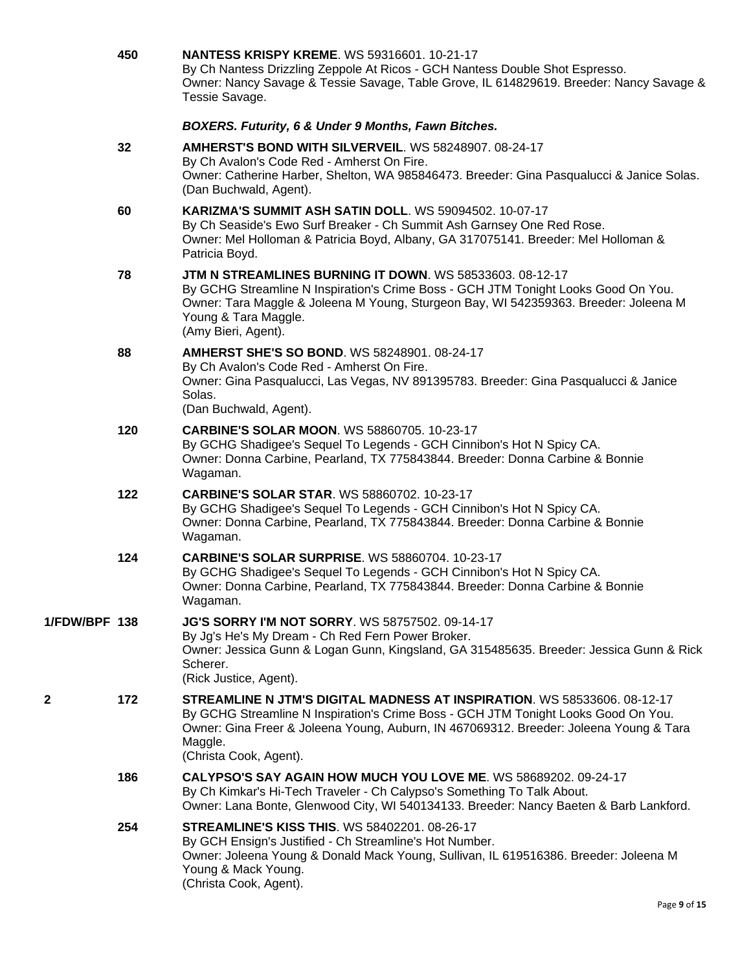|               | 450 | <b>NANTESS KRISPY KREME. WS 59316601. 10-21-17</b><br>By Ch Nantess Drizzling Zeppole At Ricos - GCH Nantess Double Shot Espresso.<br>Owner: Nancy Savage & Tessie Savage, Table Grove, IL 614829619. Breeder: Nancy Savage &<br>Tessie Savage.                                               |
|---------------|-----|-----------------------------------------------------------------------------------------------------------------------------------------------------------------------------------------------------------------------------------------------------------------------------------------------|
|               |     | BOXERS. Futurity, 6 & Under 9 Months, Fawn Bitches.                                                                                                                                                                                                                                           |
|               | 32  | AMHERST'S BOND WITH SILVERVEIL. WS 58248907. 08-24-17<br>By Ch Avalon's Code Red - Amherst On Fire.<br>Owner: Catherine Harber, Shelton, WA 985846473. Breeder: Gina Pasqualucci & Janice Solas.<br>(Dan Buchwald, Agent).                                                                    |
|               | 60  | <b>KARIZMA'S SUMMIT ASH SATIN DOLL. WS 59094502. 10-07-17</b><br>By Ch Seaside's Ewo Surf Breaker - Ch Summit Ash Garnsey One Red Rose.<br>Owner: Mel Holloman & Patricia Boyd, Albany, GA 317075141. Breeder: Mel Holloman &<br>Patricia Boyd.                                               |
|               | 78  | JTM N STREAMLINES BURNING IT DOWN. WS 58533603. 08-12-17<br>By GCHG Streamline N Inspiration's Crime Boss - GCH JTM Tonight Looks Good On You.<br>Owner: Tara Maggle & Joleena M Young, Sturgeon Bay, WI 542359363. Breeder: Joleena M<br>Young & Tara Maggle.<br>(Amy Bieri, Agent).         |
|               | 88  | AMHERST SHE'S SO BOND, WS 58248901, 08-24-17<br>By Ch Avalon's Code Red - Amherst On Fire.<br>Owner: Gina Pasqualucci, Las Vegas, NV 891395783. Breeder: Gina Pasqualucci & Janice<br>Solas.<br>(Dan Buchwald, Agent).                                                                        |
|               | 120 | <b>CARBINE'S SOLAR MOON. WS 58860705. 10-23-17</b><br>By GCHG Shadigee's Sequel To Legends - GCH Cinnibon's Hot N Spicy CA.<br>Owner: Donna Carbine, Pearland, TX 775843844. Breeder: Donna Carbine & Bonnie<br>Wagaman.                                                                      |
|               | 122 | <b>CARBINE'S SOLAR STAR. WS 58860702. 10-23-17</b><br>By GCHG Shadigee's Sequel To Legends - GCH Cinnibon's Hot N Spicy CA.<br>Owner: Donna Carbine, Pearland, TX 775843844. Breeder: Donna Carbine & Bonnie<br>Wagaman.                                                                      |
|               | 124 | <b>CARBINE'S SOLAR SURPRISE.</b> WS 58860704, 10-23-17<br>By GCHG Shadigee's Sequel To Legends - GCH Cinnibon's Hot N Spicy CA.<br>Owner: Donna Carbine, Pearland, TX 775843844. Breeder: Donna Carbine & Bonnie<br>Wagaman.                                                                  |
| 1/FDW/BPF 138 |     | <b>JG'S SORRY I'M NOT SORRY.</b> WS 58757502. 09-14-17<br>By Jg's He's My Dream - Ch Red Fern Power Broker.<br>Owner: Jessica Gunn & Logan Gunn, Kingsland, GA 315485635. Breeder: Jessica Gunn & Rick<br>Scherer.<br>(Rick Justice, Agent).                                                  |
| 2             | 172 | STREAMLINE N JTM'S DIGITAL MADNESS AT INSPIRATION. WS 58533606. 08-12-17<br>By GCHG Streamline N Inspiration's Crime Boss - GCH JTM Tonight Looks Good On You.<br>Owner: Gina Freer & Joleena Young, Auburn, IN 467069312. Breeder: Joleena Young & Tara<br>Maggle.<br>(Christa Cook, Agent). |
|               | 186 | CALYPSO'S SAY AGAIN HOW MUCH YOU LOVE ME. WS 58689202. 09-24-17<br>By Ch Kimkar's Hi-Tech Traveler - Ch Calypso's Something To Talk About.<br>Owner: Lana Bonte, Glenwood City, WI 540134133. Breeder: Nancy Baeten & Barb Lankford.                                                          |
|               | 254 | <b>STREAMLINE'S KISS THIS. WS 58402201. 08-26-17</b><br>By GCH Ensign's Justified - Ch Streamline's Hot Number.<br>Owner: Joleena Young & Donald Mack Young, Sullivan, IL 619516386. Breeder: Joleena M<br>Young & Mack Young.<br>(Christa Cook, Agent).                                      |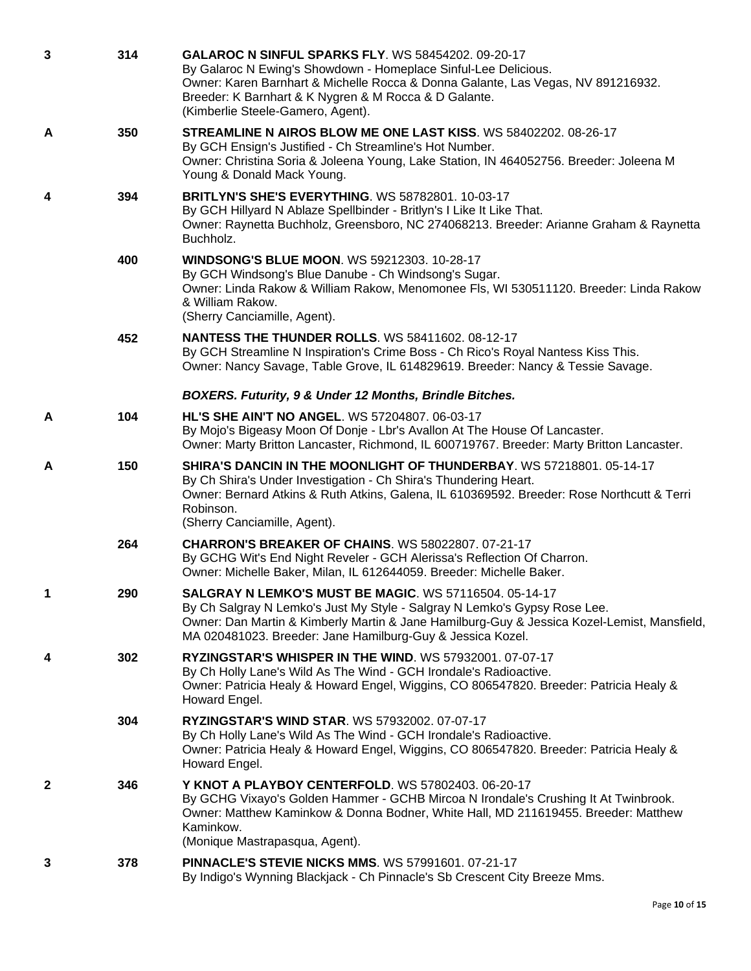| 3            | 314 | <b>GALAROC N SINFUL SPARKS FLY. WS 58454202. 09-20-17</b><br>By Galaroc N Ewing's Showdown - Homeplace Sinful-Lee Delicious.<br>Owner: Karen Barnhart & Michelle Rocca & Donna Galante, Las Vegas, NV 891216932.<br>Breeder: K Barnhart & K Nygren & M Rocca & D Galante.<br>(Kimberlie Steele-Gamero, Agent). |
|--------------|-----|----------------------------------------------------------------------------------------------------------------------------------------------------------------------------------------------------------------------------------------------------------------------------------------------------------------|
| A            | 350 | STREAMLINE N AIROS BLOW ME ONE LAST KISS. WS 58402202. 08-26-17<br>By GCH Ensign's Justified - Ch Streamline's Hot Number.<br>Owner: Christina Soria & Joleena Young, Lake Station, IN 464052756. Breeder: Joleena M<br>Young & Donald Mack Young.                                                             |
| 4            | 394 | <b>BRITLYN'S SHE'S EVERYTHING. WS 58782801. 10-03-17</b><br>By GCH Hillyard N Ablaze Spellbinder - Britlyn's I Like It Like That.<br>Owner: Raynetta Buchholz, Greensboro, NC 274068213. Breeder: Arianne Graham & Raynetta<br>Buchholz.                                                                       |
|              | 400 | <b>WINDSONG'S BLUE MOON. WS 59212303. 10-28-17</b><br>By GCH Windsong's Blue Danube - Ch Windsong's Sugar.<br>Owner: Linda Rakow & William Rakow, Menomonee Fls, WI 530511120. Breeder: Linda Rakow<br>& William Rakow.<br>(Sherry Canciamille, Agent).                                                        |
|              | 452 | <b>NANTESS THE THUNDER ROLLS.</b> WS 58411602. 08-12-17<br>By GCH Streamline N Inspiration's Crime Boss - Ch Rico's Royal Nantess Kiss This.<br>Owner: Nancy Savage, Table Grove, IL 614829619. Breeder: Nancy & Tessie Savage.                                                                                |
|              |     | BOXERS. Futurity, 9 & Under 12 Months, Brindle Bitches.                                                                                                                                                                                                                                                        |
| A            | 104 | <b>HL'S SHE AIN'T NO ANGEL. WS 57204807. 06-03-17</b><br>By Mojo's Bigeasy Moon Of Donje - Lbr's Avallon At The House Of Lancaster.<br>Owner: Marty Britton Lancaster, Richmond, IL 600719767. Breeder: Marty Britton Lancaster.                                                                               |
| A            | 150 | SHIRA'S DANCIN IN THE MOONLIGHT OF THUNDERBAY. WS 57218801. 05-14-17<br>By Ch Shira's Under Investigation - Ch Shira's Thundering Heart.<br>Owner: Bernard Atkins & Ruth Atkins, Galena, IL 610369592. Breeder: Rose Northcutt & Terri<br>Robinson.<br>(Sherry Canciamille, Agent).                            |
|              | 264 | <b>CHARRON'S BREAKER OF CHAINS. WS 58022807. 07-21-17</b><br>By GCHG Wit's End Night Reveler - GCH Alerissa's Reflection Of Charron.<br>Owner: Michelle Baker, Milan, IL 612644059. Breeder: Michelle Baker.                                                                                                   |
|              | 290 | <b>SALGRAY N LEMKO'S MUST BE MAGIC. WS 57116504. 05-14-17</b><br>By Ch Salgray N Lemko's Just My Style - Salgray N Lemko's Gypsy Rose Lee.<br>Owner: Dan Martin & Kimberly Martin & Jane Hamilburg-Guy & Jessica Kozel-Lemist, Mansfield,<br>MA 020481023. Breeder: Jane Hamilburg-Guy & Jessica Kozel.        |
| 4            | 302 | RYZINGSTAR'S WHISPER IN THE WIND. WS 57932001. 07-07-17<br>By Ch Holly Lane's Wild As The Wind - GCH Irondale's Radioactive.<br>Owner: Patricia Healy & Howard Engel, Wiggins, CO 806547820. Breeder: Patricia Healy &<br>Howard Engel.                                                                        |
|              | 304 | <b>RYZINGSTAR'S WIND STAR. WS 57932002. 07-07-17</b><br>By Ch Holly Lane's Wild As The Wind - GCH Irondale's Radioactive.<br>Owner: Patricia Healy & Howard Engel, Wiggins, CO 806547820. Breeder: Patricia Healy &<br>Howard Engel.                                                                           |
| $\mathbf{2}$ | 346 | Y KNOT A PLAYBOY CENTERFOLD. WS 57802403. 06-20-17<br>By GCHG Vixayo's Golden Hammer - GCHB Mircoa N Irondale's Crushing It At Twinbrook.<br>Owner: Matthew Kaminkow & Donna Bodner, White Hall, MD 211619455. Breeder: Matthew<br>Kaminkow.<br>(Monique Mastrapasqua, Agent).                                 |
| 3            | 378 | <b>PINNACLE'S STEVIE NICKS MMS. WS 57991601. 07-21-17</b><br>By Indigo's Wynning Blackjack - Ch Pinnacle's Sb Crescent City Breeze Mms.                                                                                                                                                                        |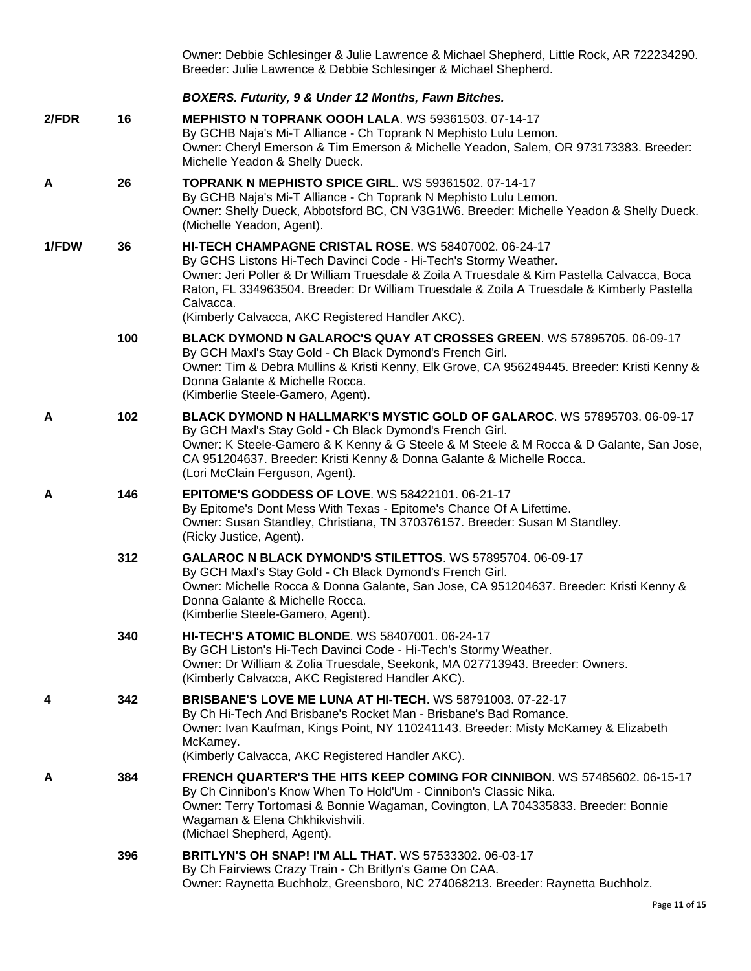|                |     | Owner: Debbie Schlesinger & Julie Lawrence & Michael Shepherd, Little Rock, AR 722234290.<br>Breeder: Julie Lawrence & Debbie Schlesinger & Michael Shepherd.                                                                                                                                                                                                                           |
|----------------|-----|-----------------------------------------------------------------------------------------------------------------------------------------------------------------------------------------------------------------------------------------------------------------------------------------------------------------------------------------------------------------------------------------|
|                |     | BOXERS. Futurity, 9 & Under 12 Months, Fawn Bitches.                                                                                                                                                                                                                                                                                                                                    |
| $2$ <i>FDR</i> | 16  | MEPHISTO N TOPRANK OOOH LALA. WS 59361503. 07-14-17<br>By GCHB Naja's Mi-T Alliance - Ch Toprank N Mephisto Lulu Lemon.<br>Owner: Cheryl Emerson & Tim Emerson & Michelle Yeadon, Salem, OR 973173383. Breeder:<br>Michelle Yeadon & Shelly Dueck.                                                                                                                                      |
| A              | 26  | <b>TOPRANK N MEPHISTO SPICE GIRL. WS 59361502. 07-14-17</b><br>By GCHB Naja's Mi-T Alliance - Ch Toprank N Mephisto Lulu Lemon.<br>Owner: Shelly Dueck, Abbotsford BC, CN V3G1W6. Breeder: Michelle Yeadon & Shelly Dueck.<br>(Michelle Yeadon, Agent).                                                                                                                                 |
| 1/FDW          | 36  | HI-TECH CHAMPAGNE CRISTAL ROSE. WS 58407002. 06-24-17<br>By GCHS Listons Hi-Tech Davinci Code - Hi-Tech's Stormy Weather.<br>Owner: Jeri Poller & Dr William Truesdale & Zoila A Truesdale & Kim Pastella Calvacca, Boca<br>Raton, FL 334963504. Breeder: Dr William Truesdale & Zoila A Truesdale & Kimberly Pastella<br>Calvacca.<br>(Kimberly Calvacca, AKC Registered Handler AKC). |
|                | 100 | BLACK DYMOND N GALAROC'S QUAY AT CROSSES GREEN. WS 57895705. 06-09-17<br>By GCH Maxl's Stay Gold - Ch Black Dymond's French Girl.<br>Owner: Tim & Debra Mullins & Kristi Kenny, Elk Grove, CA 956249445. Breeder: Kristi Kenny &<br>Donna Galante & Michelle Rocca.<br>(Kimberlie Steele-Gamero, Agent).                                                                                |
| A              | 102 | BLACK DYMOND N HALLMARK'S MYSTIC GOLD OF GALAROC. WS 57895703. 06-09-17<br>By GCH Maxl's Stay Gold - Ch Black Dymond's French Girl.<br>Owner: K Steele-Gamero & K Kenny & G Steele & M Steele & M Rocca & D Galante, San Jose,<br>CA 951204637. Breeder: Kristi Kenny & Donna Galante & Michelle Rocca.<br>(Lori McClain Ferguson, Agent).                                              |
| A              | 146 | <b>EPITOME'S GODDESS OF LOVE. WS 58422101. 06-21-17</b><br>By Epitome's Dont Mess With Texas - Epitome's Chance Of A Lifettime.<br>Owner: Susan Standley, Christiana, TN 370376157. Breeder: Susan M Standley.<br>(Ricky Justice, Agent).                                                                                                                                               |
|                | 312 | GALAROC N BLACK DYMOND'S STILETTOS. WS 57895704. 06-09-17<br>By GCH Maxl's Stay Gold - Ch Black Dymond's French Girl.<br>Owner: Michelle Rocca & Donna Galante, San Jose, CA 951204637. Breeder: Kristi Kenny &<br>Donna Galante & Michelle Rocca.<br>(Kimberlie Steele-Gamero, Agent).                                                                                                 |
|                | 340 | <b>HI-TECH'S ATOMIC BLONDE.</b> WS 58407001. 06-24-17<br>By GCH Liston's Hi-Tech Davinci Code - Hi-Tech's Stormy Weather.<br>Owner: Dr William & Zolia Truesdale, Seekonk, MA 027713943. Breeder: Owners.<br>(Kimberly Calvacca, AKC Registered Handler AKC).                                                                                                                           |
| 4              | 342 | <b>BRISBANE'S LOVE ME LUNA AT HI-TECH. WS 58791003. 07-22-17</b><br>By Ch Hi-Tech And Brisbane's Rocket Man - Brisbane's Bad Romance.<br>Owner: Ivan Kaufman, Kings Point, NY 110241143. Breeder: Misty McKamey & Elizabeth<br>McKamey.<br>(Kimberly Calvacca, AKC Registered Handler AKC).                                                                                             |
| A              | 384 | FRENCH QUARTER'S THE HITS KEEP COMING FOR CINNIBON. WS 57485602. 06-15-17<br>By Ch Cinnibon's Know When To Hold'Um - Cinnibon's Classic Nika.<br>Owner: Terry Tortomasi & Bonnie Wagaman, Covington, LA 704335833. Breeder: Bonnie<br>Wagaman & Elena Chkhikvishvili.<br>(Michael Shepherd, Agent).                                                                                     |
|                | 396 | BRITLYN'S OH SNAP! I'M ALL THAT. WS 57533302. 06-03-17<br>By Ch Fairviews Crazy Train - Ch Britlyn's Game On CAA.<br>Owner: Raynetta Buchholz, Greensboro, NC 274068213. Breeder: Raynetta Buchholz.                                                                                                                                                                                    |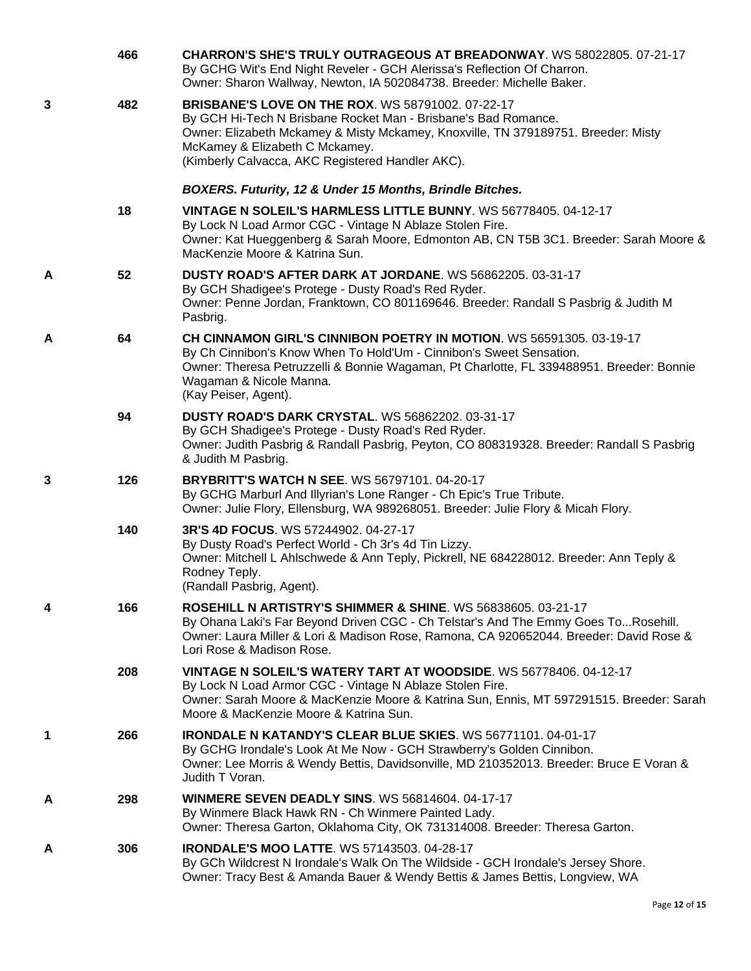|   | 466 | <b>CHARRON'S SHE'S TRULY OUTRAGEOUS AT BREADONWAY. WS 58022805. 07-21-17</b><br>By GCHG Wit's End Night Reveler - GCH Alerissa's Reflection Of Charron.<br>Owner: Sharon Wallway, Newton, IA 502084738. Breeder: Michelle Baker.                                                                      |
|---|-----|-------------------------------------------------------------------------------------------------------------------------------------------------------------------------------------------------------------------------------------------------------------------------------------------------------|
| 3 | 482 | <b>BRISBANE'S LOVE ON THE ROX. WS 58791002. 07-22-17</b><br>By GCH Hi-Tech N Brisbane Rocket Man - Brisbane's Bad Romance.<br>Owner: Elizabeth Mckamey & Misty Mckamey, Knoxville, TN 379189751. Breeder: Misty<br>McKamey & Elizabeth C Mckamey.<br>(Kimberly Calvacca, AKC Registered Handler AKC). |
|   |     | BOXERS. Futurity, 12 & Under 15 Months, Brindle Bitches.                                                                                                                                                                                                                                              |
|   | 18  | VINTAGE N SOLEIL'S HARMLESS LITTLE BUNNY, WS 56778405, 04-12-17<br>By Lock N Load Armor CGC - Vintage N Ablaze Stolen Fire.<br>Owner: Kat Hueggenberg & Sarah Moore, Edmonton AB, CN T5B 3C1. Breeder: Sarah Moore &<br>MacKenzie Moore & Katrina Sun.                                                |
| A | 52  | DUSTY ROAD'S AFTER DARK AT JORDANE. WS 56862205. 03-31-17<br>By GCH Shadigee's Protege - Dusty Road's Red Ryder.<br>Owner: Penne Jordan, Franktown, CO 801169646. Breeder: Randall S Pasbrig & Judith M<br>Pasbrig.                                                                                   |
| A | 64  | CH CINNAMON GIRL'S CINNIBON POETRY IN MOTION. WS 56591305, 03-19-17<br>By Ch Cinnibon's Know When To Hold'Um - Cinnibon's Sweet Sensation.<br>Owner: Theresa Petruzzelli & Bonnie Wagaman, Pt Charlotte, FL 339488951. Breeder: Bonnie<br>Wagaman & Nicole Manna.<br>(Kay Peiser, Agent).             |
|   | 94  | <b>DUSTY ROAD'S DARK CRYSTAL. WS 56862202. 03-31-17</b><br>By GCH Shadigee's Protege - Dusty Road's Red Ryder.<br>Owner: Judith Pasbrig & Randall Pasbrig, Peyton, CO 808319328. Breeder: Randall S Pasbrig<br>& Judith M Pasbrig.                                                                    |
| 3 | 126 | <b>BRYBRITT'S WATCH N SEE. WS 56797101. 04-20-17</b><br>By GCHG Marburl And Illyrian's Lone Ranger - Ch Epic's True Tribute.<br>Owner: Julie Flory, Ellensburg, WA 989268051. Breeder: Julie Flory & Micah Flory.                                                                                     |
|   | 140 | 3R'S 4D FOCUS. WS 57244902. 04-27-17<br>By Dusty Road's Perfect World - Ch 3r's 4d Tin Lizzy.<br>Owner: Mitchell L Ahlschwede & Ann Teply, Pickrell, NE 684228012. Breeder: Ann Teply &<br>Rodney Teply.<br>(Randall Pasbrig, Agent).                                                                 |
| 4 | 166 | <b>ROSEHILL N ARTISTRY'S SHIMMER &amp; SHINE. WS 56838605. 03-21-17</b><br>By Ohana Laki's Far Beyond Driven CGC - Ch Telstar's And The Emmy Goes ToRosehill.<br>Owner: Laura Miller & Lori & Madison Rose, Ramona, CA 920652044. Breeder: David Rose &<br>Lori Rose & Madison Rose.                  |
|   | 208 | VINTAGE N SOLEIL'S WATERY TART AT WOODSIDE. WS 56778406. 04-12-17<br>By Lock N Load Armor CGC - Vintage N Ablaze Stolen Fire.<br>Owner: Sarah Moore & MacKenzie Moore & Katrina Sun, Ennis, MT 597291515. Breeder: Sarah<br>Moore & MacKenzie Moore & Katrina Sun.                                    |
| 1 | 266 | IRONDALE N KATANDY'S CLEAR BLUE SKIES. WS 56771101. 04-01-17<br>By GCHG Irondale's Look At Me Now - GCH Strawberry's Golden Cinnibon.<br>Owner: Lee Morris & Wendy Bettis, Davidsonville, MD 210352013. Breeder: Bruce E Voran &<br>Judith T Voran.                                                   |
| A | 298 | <b>WINMERE SEVEN DEADLY SINS. WS 56814604. 04-17-17</b><br>By Winmere Black Hawk RN - Ch Winmere Painted Lady.<br>Owner: Theresa Garton, Oklahoma City, OK 731314008. Breeder: Theresa Garton.                                                                                                        |
| A | 306 | <b>IRONDALE'S MOO LATTE. WS 57143503. 04-28-17</b><br>By GCh Wildcrest N Irondale's Walk On The Wildside - GCH Irondale's Jersey Shore.<br>Owner: Tracy Best & Amanda Bauer & Wendy Bettis & James Bettis, Longview, WA                                                                               |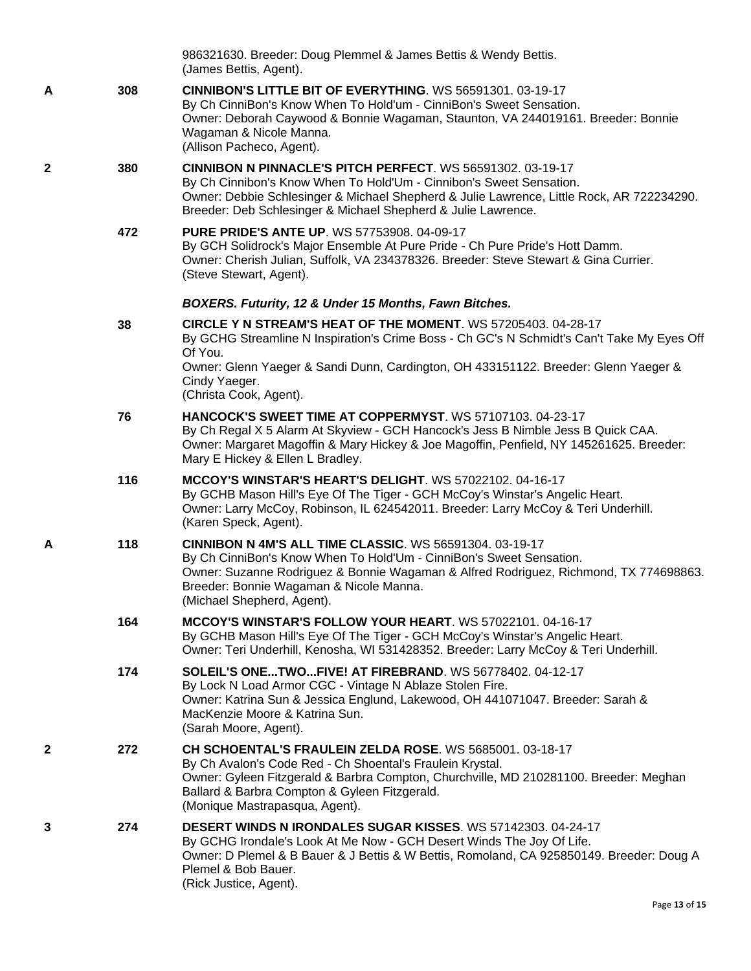|   |     | 986321630. Breeder: Doug Plemmel & James Bettis & Wendy Bettis.<br>(James Bettis, Agent).                                                                                                                                                                                                                |
|---|-----|----------------------------------------------------------------------------------------------------------------------------------------------------------------------------------------------------------------------------------------------------------------------------------------------------------|
| A | 308 | <b>CINNIBON'S LITTLE BIT OF EVERYTHING. WS 56591301. 03-19-17</b><br>By Ch CinniBon's Know When To Hold'um - CinniBon's Sweet Sensation.<br>Owner: Deborah Caywood & Bonnie Wagaman, Staunton, VA 244019161. Breeder: Bonnie<br>Wagaman & Nicole Manna.<br>(Allison Pacheco, Agent).                     |
| 2 | 380 | CINNIBON N PINNACLE'S PITCH PERFECT. WS 56591302. 03-19-17<br>By Ch Cinnibon's Know When To Hold'Um - Cinnibon's Sweet Sensation.<br>Owner: Debbie Schlesinger & Michael Shepherd & Julie Lawrence, Little Rock, AR 722234290.<br>Breeder: Deb Schlesinger & Michael Shepherd & Julie Lawrence.          |
|   | 472 | <b>PURE PRIDE'S ANTE UP. WS 57753908. 04-09-17</b><br>By GCH Solidrock's Major Ensemble At Pure Pride - Ch Pure Pride's Hott Damm.<br>Owner: Cherish Julian, Suffolk, VA 234378326. Breeder: Steve Stewart & Gina Currier.<br>(Steve Stewart, Agent).                                                    |
|   |     | BOXERS. Futurity, 12 & Under 15 Months, Fawn Bitches.                                                                                                                                                                                                                                                    |
|   | 38  | CIRCLE Y N STREAM'S HEAT OF THE MOMENT. WS 57205403. 04-28-17<br>By GCHG Streamline N Inspiration's Crime Boss - Ch GC's N Schmidt's Can't Take My Eyes Off<br>Of You.<br>Owner: Glenn Yaeger & Sandi Dunn, Cardington, OH 433151122. Breeder: Glenn Yaeger &<br>Cindy Yaeger.<br>(Christa Cook, Agent). |
|   | 76  | <b>HANCOCK'S SWEET TIME AT COPPERMYST.</b> WS 57107103, 04-23-17<br>By Ch Regal X 5 Alarm At Skyview - GCH Hancock's Jess B Nimble Jess B Quick CAA.<br>Owner: Margaret Magoffin & Mary Hickey & Joe Magoffin, Penfield, NY 145261625. Breeder:<br>Mary E Hickey & Ellen L Bradley.                      |
|   | 116 | MCCOY'S WINSTAR'S HEART'S DELIGHT. WS 57022102. 04-16-17<br>By GCHB Mason Hill's Eye Of The Tiger - GCH McCoy's Winstar's Angelic Heart.<br>Owner: Larry McCoy, Robinson, IL 624542011. Breeder: Larry McCoy & Teri Underhill.<br>(Karen Speck, Agent).                                                  |
| A | 118 | <b>CINNIBON N 4M'S ALL TIME CLASSIC. WS 56591304. 03-19-17</b><br>By Ch CinniBon's Know When To Hold'Um - CinniBon's Sweet Sensation.<br>Owner: Suzanne Rodriguez & Bonnie Wagaman & Alfred Rodriguez, Richmond, TX 774698863.<br>Breeder: Bonnie Wagaman & Nicole Manna.<br>(Michael Shepherd, Agent).  |
|   | 164 | <b>MCCOY'S WINSTAR'S FOLLOW YOUR HEART. WS 57022101. 04-16-17</b><br>By GCHB Mason Hill's Eye Of The Tiger - GCH McCoy's Winstar's Angelic Heart.<br>Owner: Teri Underhill, Kenosha, WI 531428352. Breeder: Larry McCoy & Teri Underhill.                                                                |
|   | 174 | SOLEIL'S ONETWOFIVE! AT FIREBRAND. WS 56778402. 04-12-17<br>By Lock N Load Armor CGC - Vintage N Ablaze Stolen Fire.<br>Owner: Katrina Sun & Jessica Englund, Lakewood, OH 441071047. Breeder: Sarah &<br>MacKenzie Moore & Katrina Sun.<br>(Sarah Moore, Agent).                                        |
| 2 | 272 | CH SCHOENTAL'S FRAULEIN ZELDA ROSE, WS 5685001, 03-18-17<br>By Ch Avalon's Code Red - Ch Shoental's Fraulein Krystal.<br>Owner: Gyleen Fitzgerald & Barbra Compton, Churchville, MD 210281100. Breeder: Meghan<br>Ballard & Barbra Compton & Gyleen Fitzgerald.<br>(Monique Mastrapasqua, Agent).        |
| 3 | 274 | DESERT WINDS N IRONDALES SUGAR KISSES. WS 57142303. 04-24-17<br>By GCHG Irondale's Look At Me Now - GCH Desert Winds The Joy Of Life.<br>Owner: D Plemel & B Bauer & J Bettis & W Bettis, Romoland, CA 925850149. Breeder: Doug A<br>Plemel & Bob Bauer.<br>(Rick Justice, Agent).                       |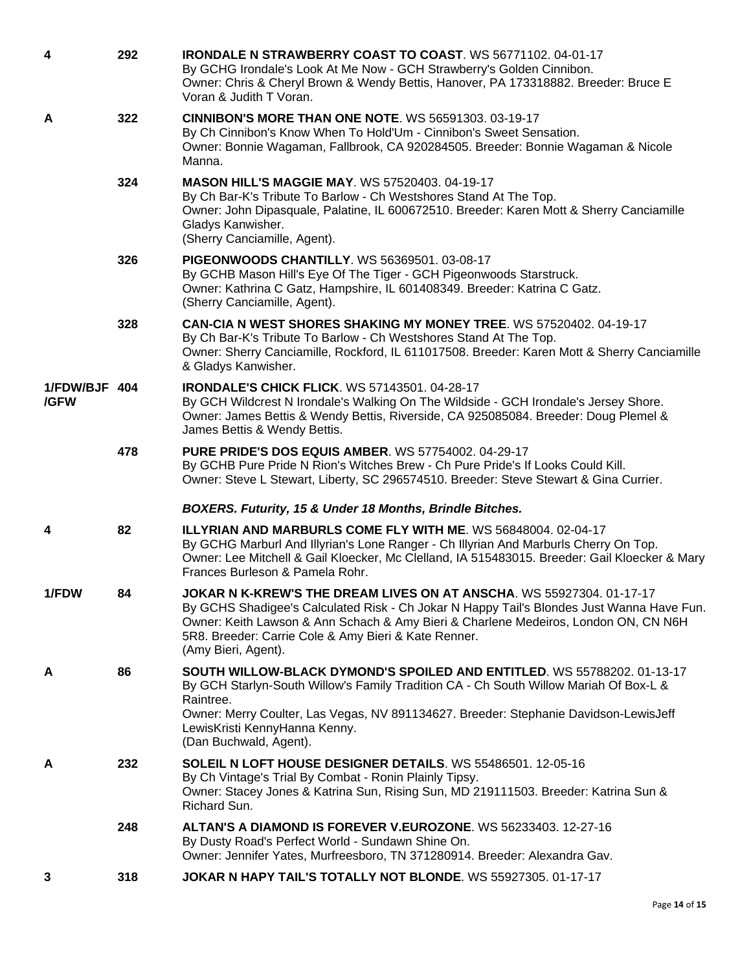| 4                     | 292 | <b>IRONDALE N STRAWBERRY COAST TO COAST.</b> WS 56771102. 04-01-17<br>By GCHG Irondale's Look At Me Now - GCH Strawberry's Golden Cinnibon.<br>Owner: Chris & Cheryl Brown & Wendy Bettis, Hanover, PA 173318882. Breeder: Bruce E<br>Voran & Judith T Voran.                                                                           |
|-----------------------|-----|-----------------------------------------------------------------------------------------------------------------------------------------------------------------------------------------------------------------------------------------------------------------------------------------------------------------------------------------|
| A                     | 322 | <b>CINNIBON'S MORE THAN ONE NOTE. WS 56591303. 03-19-17</b><br>By Ch Cinnibon's Know When To Hold'Um - Cinnibon's Sweet Sensation.<br>Owner: Bonnie Wagaman, Fallbrook, CA 920284505. Breeder: Bonnie Wagaman & Nicole<br>Manna.                                                                                                        |
|                       | 324 | <b>MASON HILL'S MAGGIE MAY. WS 57520403. 04-19-17</b><br>By Ch Bar-K's Tribute To Barlow - Ch Westshores Stand At The Top.<br>Owner: John Dipasquale, Palatine, IL 600672510. Breeder: Karen Mott & Sherry Canciamille<br>Gladys Kanwisher.<br>(Sherry Canciamille, Agent).                                                             |
|                       | 326 | <b>PIGEONWOODS CHANTILLY. WS 56369501. 03-08-17</b><br>By GCHB Mason Hill's Eye Of The Tiger - GCH Pigeonwoods Starstruck.<br>Owner: Kathrina C Gatz, Hampshire, IL 601408349. Breeder: Katrina C Gatz.<br>(Sherry Canciamille, Agent).                                                                                                 |
|                       | 328 | <b>CAN-CIA N WEST SHORES SHAKING MY MONEY TREE. WS 57520402. 04-19-17</b><br>By Ch Bar-K's Tribute To Barlow - Ch Westshores Stand At The Top.<br>Owner: Sherry Canciamille, Rockford, IL 611017508. Breeder: Karen Mott & Sherry Canciamille<br>& Gladys Kanwisher.                                                                    |
| 1/FDW/BJF 404<br>/GFW |     | <b>IRONDALE'S CHICK FLICK. WS 57143501. 04-28-17</b><br>By GCH Wildcrest N Irondale's Walking On The Wildside - GCH Irondale's Jersey Shore.<br>Owner: James Bettis & Wendy Bettis, Riverside, CA 925085084. Breeder: Doug Plemel &<br>James Bettis & Wendy Bettis.                                                                     |
|                       | 478 | <b>PURE PRIDE'S DOS EQUIS AMBER.</b> WS 57754002. 04-29-17<br>By GCHB Pure Pride N Rion's Witches Brew - Ch Pure Pride's If Looks Could Kill.<br>Owner: Steve L Stewart, Liberty, SC 296574510. Breeder: Steve Stewart & Gina Currier.                                                                                                  |
|                       |     | <b>BOXERS. Futurity, 15 &amp; Under 18 Months, Brindle Bitches.</b>                                                                                                                                                                                                                                                                     |
| 4                     | 82  | <b>ILLYRIAN AND MARBURLS COME FLY WITH ME. WS 56848004. 02-04-17</b><br>By GCHG Marburl And Illyrian's Lone Ranger - Ch Illyrian And Marburls Cherry On Top.<br>Owner: Lee Mitchell & Gail Kloecker, Mc Clelland, IA 515483015. Breeder: Gail Kloecker & Mary<br>Frances Burleson & Pamela Rohr.                                        |
| 1/FDW                 | 84  | JOKAR N K-KREW'S THE DREAM LIVES ON AT ANSCHA. WS 55927304, 01-17-17<br>By GCHS Shadigee's Calculated Risk - Ch Jokar N Happy Tail's Blondes Just Wanna Have Fun.<br>Owner: Keith Lawson & Ann Schach & Amy Bieri & Charlene Medeiros, London ON, CN N6H<br>5R8. Breeder: Carrie Cole & Amy Bieri & Kate Renner.<br>(Amy Bieri, Agent). |
| A                     | 86  | SOUTH WILLOW-BLACK DYMOND'S SPOILED AND ENTITLED. WS 55788202. 01-13-17<br>By GCH Starlyn-South Willow's Family Tradition CA - Ch South Willow Mariah Of Box-L &<br>Raintree.<br>Owner: Merry Coulter, Las Vegas, NV 891134627. Breeder: Stephanie Davidson-LewisJeff<br>LewisKristi KennyHanna Kenny.<br>(Dan Buchwald, Agent).        |
| A                     | 232 | SOLEIL N LOFT HOUSE DESIGNER DETAILS. WS 55486501. 12-05-16<br>By Ch Vintage's Trial By Combat - Ronin Plainly Tipsy.<br>Owner: Stacey Jones & Katrina Sun, Rising Sun, MD 219111503. Breeder: Katrina Sun &<br>Richard Sun.                                                                                                            |
|                       | 248 | ALTAN'S A DIAMOND IS FOREVER V.EUROZONE. WS 56233403. 12-27-16<br>By Dusty Road's Perfect World - Sundawn Shine On.<br>Owner: Jennifer Yates, Murfreesboro, TN 371280914. Breeder: Alexandra Gav.                                                                                                                                       |
| 3                     | 318 | JOKAR N HAPY TAIL'S TOTALLY NOT BLONDE. WS 55927305. 01-17-17                                                                                                                                                                                                                                                                           |